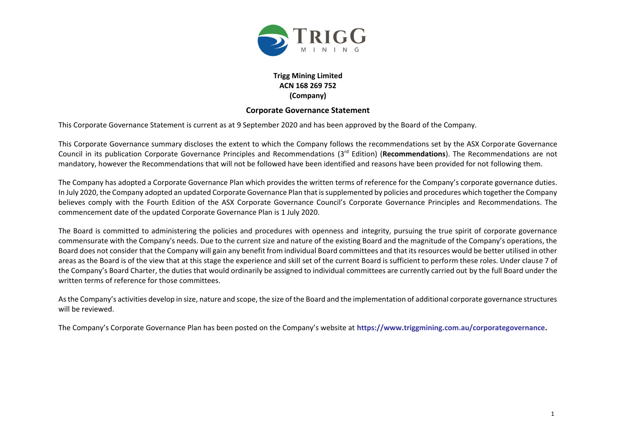

# **Trigg Mining Limited ACN 168 269 752 (Company)**

### **Corporate Governance Statement**

This Corporate Governance Statement is current as at 9 September 2020 and has been approved by the Board of the Company.

This Corporate Governance summary discloses the extent to which the Company follows the recommendations set by the ASX Corporate Governance Council in its publication Corporate Governance Principles and Recommendations (3 rd Edition) (**Recommendations**). The Recommendations are not mandatory, however the Recommendations that will not be followed have been identified and reasons have been provided for not following them.

The Company has adopted a Corporate Governance Plan which provides the written terms of reference for the Company's corporate governance duties. In July 2020, the Company adopted an updated Corporate Governance Plan that is supplemented by policies and procedures which together the Company believes comply with the Fourth Edition of the ASX Corporate Governance Council's Corporate Governance Principles and Recommendations. The commencement date of the updated Corporate Governance Plan is 1 July 2020.

The Board is committed to administering the policies and procedures with openness and integrity, pursuing the true spirit of corporate governance commensurate with the Company's needs. Due to the current size and nature of the existing Board and the magnitude of the Company's operations, the Board does not consider that the Company will gain any benefit from individual Board committees and that its resources would be better utilised in other areas as the Board is of the view that at this stage the experience and skill set of the current Board is sufficient to perform these roles. Under clause 7 of the Company's Board Charter, the duties that would ordinarily be assigned to individual committees are currently carried out by the full Board under the written terms of reference for those committees.

As the Company's activities develop in size, nature and scope, the size of the Board and the implementation of additional corporate governance structures will be reviewed.

The Company's Corporate Governance Plan has been posted on the Company's website at **https://www.triggmining.com.au/corporategovernance.**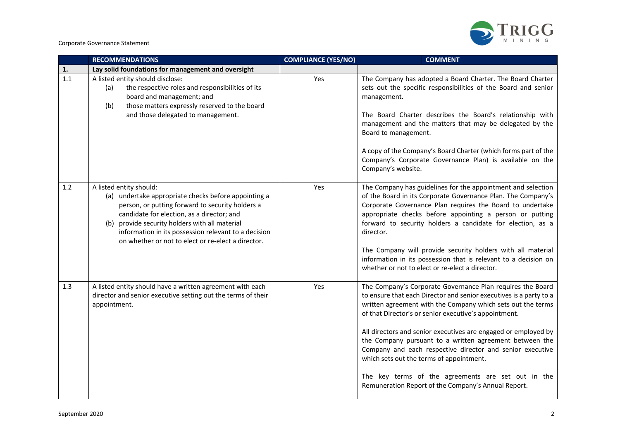

|     | <b>RECOMMENDATIONS</b>                                                                                                                                                                                                                                                                                                                            | <b>COMPLIANCE (YES/NO)</b> | <b>COMMENT</b>                                                                                                                                                                                                                                                                                                                                                                                                                                                                                                                                                                                              |
|-----|---------------------------------------------------------------------------------------------------------------------------------------------------------------------------------------------------------------------------------------------------------------------------------------------------------------------------------------------------|----------------------------|-------------------------------------------------------------------------------------------------------------------------------------------------------------------------------------------------------------------------------------------------------------------------------------------------------------------------------------------------------------------------------------------------------------------------------------------------------------------------------------------------------------------------------------------------------------------------------------------------------------|
| 1.  | Lay solid foundations for management and oversight                                                                                                                                                                                                                                                                                                |                            |                                                                                                                                                                                                                                                                                                                                                                                                                                                                                                                                                                                                             |
| 1.1 | A listed entity should disclose:<br>the respective roles and responsibilities of its<br>(a)<br>board and management; and<br>those matters expressly reserved to the board<br>(b)<br>and those delegated to management.                                                                                                                            | Yes                        | The Company has adopted a Board Charter. The Board Charter<br>sets out the specific responsibilities of the Board and senior<br>management.<br>The Board Charter describes the Board's relationship with<br>management and the matters that may be delegated by the<br>Board to management.<br>A copy of the Company's Board Charter (which forms part of the<br>Company's Corporate Governance Plan) is available on the<br>Company's website.                                                                                                                                                             |
| 1.2 | A listed entity should:<br>(a) undertake appropriate checks before appointing a<br>person, or putting forward to security holders a<br>candidate for election, as a director; and<br>(b) provide security holders with all material<br>information in its possession relevant to a decision<br>on whether or not to elect or re-elect a director. | Yes                        | The Company has guidelines for the appointment and selection<br>of the Board in its Corporate Governance Plan. The Company's<br>Corporate Governance Plan requires the Board to undertake<br>appropriate checks before appointing a person or putting<br>forward to security holders a candidate for election, as a<br>director.<br>The Company will provide security holders with all material<br>information in its possession that is relevant to a decision on<br>whether or not to elect or re-elect a director.                                                                                       |
| 1.3 | A listed entity should have a written agreement with each<br>director and senior executive setting out the terms of their<br>appointment.                                                                                                                                                                                                         | Yes                        | The Company's Corporate Governance Plan requires the Board<br>to ensure that each Director and senior executives is a party to a<br>written agreement with the Company which sets out the terms<br>of that Director's or senior executive's appointment.<br>All directors and senior executives are engaged or employed by<br>the Company pursuant to a written agreement between the<br>Company and each respective director and senior executive<br>which sets out the terms of appointment.<br>The key terms of the agreements are set out in the<br>Remuneration Report of the Company's Annual Report. |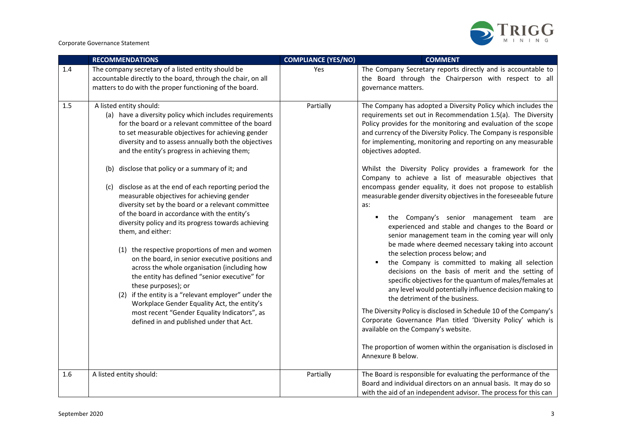

|     | <b>RECOMMENDATIONS</b>                                                                                                                                                                                                                                                                                                                                                                                                                                                                                                                                                                                                                                                                                                                                                                                                                                                                                                                                                                                                                                                                | <b>COMPLIANCE (YES/NO)</b> | <b>COMMENT</b>                                                                                                                                                                                                                                                                                                                                                                                                                                                                                                                                                                                                                                                                                                                                                                                                                                                                                                                                                                                                                                                                                                                                                                                                                                                                                                                |
|-----|---------------------------------------------------------------------------------------------------------------------------------------------------------------------------------------------------------------------------------------------------------------------------------------------------------------------------------------------------------------------------------------------------------------------------------------------------------------------------------------------------------------------------------------------------------------------------------------------------------------------------------------------------------------------------------------------------------------------------------------------------------------------------------------------------------------------------------------------------------------------------------------------------------------------------------------------------------------------------------------------------------------------------------------------------------------------------------------|----------------------------|-------------------------------------------------------------------------------------------------------------------------------------------------------------------------------------------------------------------------------------------------------------------------------------------------------------------------------------------------------------------------------------------------------------------------------------------------------------------------------------------------------------------------------------------------------------------------------------------------------------------------------------------------------------------------------------------------------------------------------------------------------------------------------------------------------------------------------------------------------------------------------------------------------------------------------------------------------------------------------------------------------------------------------------------------------------------------------------------------------------------------------------------------------------------------------------------------------------------------------------------------------------------------------------------------------------------------------|
| 1.4 | The company secretary of a listed entity should be<br>accountable directly to the board, through the chair, on all<br>matters to do with the proper functioning of the board.                                                                                                                                                                                                                                                                                                                                                                                                                                                                                                                                                                                                                                                                                                                                                                                                                                                                                                         | <b>Yes</b>                 | The Company Secretary reports directly and is accountable to<br>the Board through the Chairperson with respect to all<br>governance matters.                                                                                                                                                                                                                                                                                                                                                                                                                                                                                                                                                                                                                                                                                                                                                                                                                                                                                                                                                                                                                                                                                                                                                                                  |
| 1.5 | A listed entity should:<br>(a) have a diversity policy which includes requirements<br>for the board or a relevant committee of the board<br>to set measurable objectives for achieving gender<br>diversity and to assess annually both the objectives<br>and the entity's progress in achieving them;<br>(b) disclose that policy or a summary of it; and<br>(c) disclose as at the end of each reporting period the<br>measurable objectives for achieving gender<br>diversity set by the board or a relevant committee<br>of the board in accordance with the entity's<br>diversity policy and its progress towards achieving<br>them, and either:<br>(1) the respective proportions of men and women<br>on the board, in senior executive positions and<br>across the whole organisation (including how<br>the entity has defined "senior executive" for<br>these purposes); or<br>(2) if the entity is a "relevant employer" under the<br>Workplace Gender Equality Act, the entity's<br>most recent "Gender Equality Indicators", as<br>defined in and published under that Act. | Partially                  | The Company has adopted a Diversity Policy which includes the<br>requirements set out in Recommendation 1.5(a). The Diversity<br>Policy provides for the monitoring and evaluation of the scope<br>and currency of the Diversity Policy. The Company is responsible<br>for implementing, monitoring and reporting on any measurable<br>objectives adopted.<br>Whilst the Diversity Policy provides a framework for the<br>Company to achieve a list of measurable objectives that<br>encompass gender equality, it does not propose to establish<br>measurable gender diversity objectives in the foreseeable future<br>as:<br>the Company's senior management team are<br>experienced and stable and changes to the Board or<br>senior management team in the coming year will only<br>be made where deemed necessary taking into account<br>the selection process below; and<br>the Company is committed to making all selection<br>decisions on the basis of merit and the setting of<br>specific objectives for the quantum of males/females at<br>any level would potentially influence decision making to<br>the detriment of the business.<br>The Diversity Policy is disclosed in Schedule 10 of the Company's<br>Corporate Governance Plan titled 'Diversity Policy' which is<br>available on the Company's website. |
|     |                                                                                                                                                                                                                                                                                                                                                                                                                                                                                                                                                                                                                                                                                                                                                                                                                                                                                                                                                                                                                                                                                       |                            | The proportion of women within the organisation is disclosed in<br>Annexure B below.                                                                                                                                                                                                                                                                                                                                                                                                                                                                                                                                                                                                                                                                                                                                                                                                                                                                                                                                                                                                                                                                                                                                                                                                                                          |
| 1.6 | A listed entity should:                                                                                                                                                                                                                                                                                                                                                                                                                                                                                                                                                                                                                                                                                                                                                                                                                                                                                                                                                                                                                                                               | Partially                  | The Board is responsible for evaluating the performance of the<br>Board and individual directors on an annual basis. It may do so<br>with the aid of an independent advisor. The process for this can                                                                                                                                                                                                                                                                                                                                                                                                                                                                                                                                                                                                                                                                                                                                                                                                                                                                                                                                                                                                                                                                                                                         |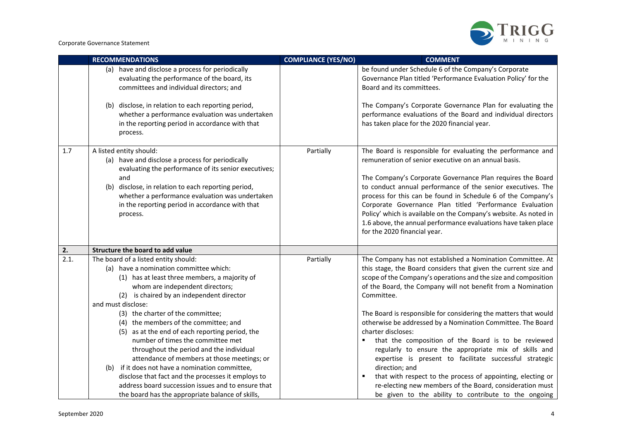

|      | <b>RECOMMENDATIONS</b>                                                                                                                                                                                                                                                                                                                                                                                                                      | <b>COMPLIANCE (YES/NO)</b> | <b>COMMENT</b>                                                                                                                                                                                                                                                                                                                                                                                                                                                                                                                                     |
|------|---------------------------------------------------------------------------------------------------------------------------------------------------------------------------------------------------------------------------------------------------------------------------------------------------------------------------------------------------------------------------------------------------------------------------------------------|----------------------------|----------------------------------------------------------------------------------------------------------------------------------------------------------------------------------------------------------------------------------------------------------------------------------------------------------------------------------------------------------------------------------------------------------------------------------------------------------------------------------------------------------------------------------------------------|
|      | (a) have and disclose a process for periodically<br>evaluating the performance of the board, its<br>committees and individual directors; and                                                                                                                                                                                                                                                                                                |                            | be found under Schedule 6 of the Company's Corporate<br>Governance Plan titled 'Performance Evaluation Policy' for the<br>Board and its committees.                                                                                                                                                                                                                                                                                                                                                                                                |
|      | (b) disclose, in relation to each reporting period,<br>whether a performance evaluation was undertaken<br>in the reporting period in accordance with that<br>process.                                                                                                                                                                                                                                                                       |                            | The Company's Corporate Governance Plan for evaluating the<br>performance evaluations of the Board and individual directors<br>has taken place for the 2020 financial year.                                                                                                                                                                                                                                                                                                                                                                        |
| 1.7  | A listed entity should:<br>(a) have and disclose a process for periodically<br>evaluating the performance of its senior executives;<br>and<br>(b) disclose, in relation to each reporting period,<br>whether a performance evaluation was undertaken<br>in the reporting period in accordance with that<br>process.                                                                                                                         | Partially                  | The Board is responsible for evaluating the performance and<br>remuneration of senior executive on an annual basis.<br>The Company's Corporate Governance Plan requires the Board<br>to conduct annual performance of the senior executives. The<br>process for this can be found in Schedule 6 of the Company's<br>Corporate Governance Plan titled 'Performance Evaluation<br>Policy' which is available on the Company's website. As noted in<br>1.6 above, the annual performance evaluations have taken place<br>for the 2020 financial year. |
| 2.   | Structure the board to add value                                                                                                                                                                                                                                                                                                                                                                                                            |                            |                                                                                                                                                                                                                                                                                                                                                                                                                                                                                                                                                    |
| 2.1. | The board of a listed entity should:<br>(a) have a nomination committee which:<br>(1) has at least three members, a majority of<br>whom are independent directors;<br>(2) is chaired by an independent director<br>and must disclose:<br>(3) the charter of the committee;                                                                                                                                                                  | Partially                  | The Company has not established a Nomination Committee. At<br>this stage, the Board considers that given the current size and<br>scope of the Company's operations and the size and composition<br>of the Board, the Company will not benefit from a Nomination<br>Committee.                                                                                                                                                                                                                                                                      |
|      | (4) the members of the committee; and<br>(5) as at the end of each reporting period, the<br>number of times the committee met<br>throughout the period and the individual<br>attendance of members at those meetings; or<br>(b) if it does not have a nomination committee,<br>disclose that fact and the processes it employs to<br>address board succession issues and to ensure that<br>the board has the appropriate balance of skills, |                            | The Board is responsible for considering the matters that would<br>otherwise be addressed by a Nomination Committee. The Board<br>charter discloses:<br>that the composition of the Board is to be reviewed<br>regularly to ensure the appropriate mix of skills and<br>expertise is present to facilitate successful strategic<br>direction; and<br>that with respect to the process of appointing, electing or<br>re-electing new members of the Board, consideration must<br>be given to the ability to contribute to the ongoing               |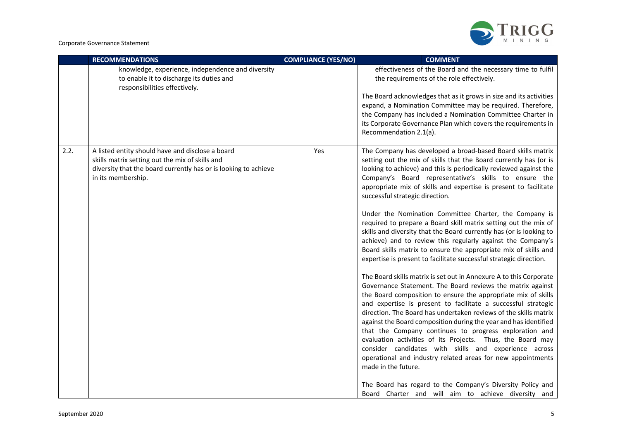

|      | <b>RECOMMENDATIONS</b>                                                                                                                                                                       | <b>COMPLIANCE (YES/NO)</b> | <b>COMMENT</b>                                                                                                                                                                                                                                                                                                                                                                                                                                                                                                                                                                                                                                                                                                                                                                                                                                                                                                                                                                                                                                                                                                                                                                                                                                                                                                                                                                                                                                                         |
|------|----------------------------------------------------------------------------------------------------------------------------------------------------------------------------------------------|----------------------------|------------------------------------------------------------------------------------------------------------------------------------------------------------------------------------------------------------------------------------------------------------------------------------------------------------------------------------------------------------------------------------------------------------------------------------------------------------------------------------------------------------------------------------------------------------------------------------------------------------------------------------------------------------------------------------------------------------------------------------------------------------------------------------------------------------------------------------------------------------------------------------------------------------------------------------------------------------------------------------------------------------------------------------------------------------------------------------------------------------------------------------------------------------------------------------------------------------------------------------------------------------------------------------------------------------------------------------------------------------------------------------------------------------------------------------------------------------------------|
|      | knowledge, experience, independence and diversity<br>to enable it to discharge its duties and<br>responsibilities effectively.                                                               |                            | effectiveness of the Board and the necessary time to fulfil<br>the requirements of the role effectively.                                                                                                                                                                                                                                                                                                                                                                                                                                                                                                                                                                                                                                                                                                                                                                                                                                                                                                                                                                                                                                                                                                                                                                                                                                                                                                                                                               |
|      |                                                                                                                                                                                              |                            | The Board acknowledges that as it grows in size and its activities<br>expand, a Nomination Committee may be required. Therefore,<br>the Company has included a Nomination Committee Charter in<br>its Corporate Governance Plan which covers the requirements in<br>Recommendation 2.1(a).                                                                                                                                                                                                                                                                                                                                                                                                                                                                                                                                                                                                                                                                                                                                                                                                                                                                                                                                                                                                                                                                                                                                                                             |
| 2.2. | A listed entity should have and disclose a board<br>skills matrix setting out the mix of skills and<br>diversity that the board currently has or is looking to achieve<br>in its membership. | Yes                        | The Company has developed a broad-based Board skills matrix<br>setting out the mix of skills that the Board currently has (or is<br>looking to achieve) and this is periodically reviewed against the<br>Company's Board representative's skills to ensure the<br>appropriate mix of skills and expertise is present to facilitate<br>successful strategic direction.<br>Under the Nomination Committee Charter, the Company is<br>required to prepare a Board skill matrix setting out the mix of<br>skills and diversity that the Board currently has (or is looking to<br>achieve) and to review this regularly against the Company's<br>Board skills matrix to ensure the appropriate mix of skills and<br>expertise is present to facilitate successful strategic direction.<br>The Board skills matrix is set out in Annexure A to this Corporate<br>Governance Statement. The Board reviews the matrix against<br>the Board composition to ensure the appropriate mix of skills<br>and expertise is present to facilitate a successful strategic<br>direction. The Board has undertaken reviews of the skills matrix<br>against the Board composition during the year and has identified<br>that the Company continues to progress exploration and<br>evaluation activities of its Projects. Thus, the Board may<br>consider candidates with skills and experience across<br>operational and industry related areas for new appointments<br>made in the future. |
|      |                                                                                                                                                                                              |                            | The Board has regard to the Company's Diversity Policy and<br>Board Charter and will aim to achieve diversity and                                                                                                                                                                                                                                                                                                                                                                                                                                                                                                                                                                                                                                                                                                                                                                                                                                                                                                                                                                                                                                                                                                                                                                                                                                                                                                                                                      |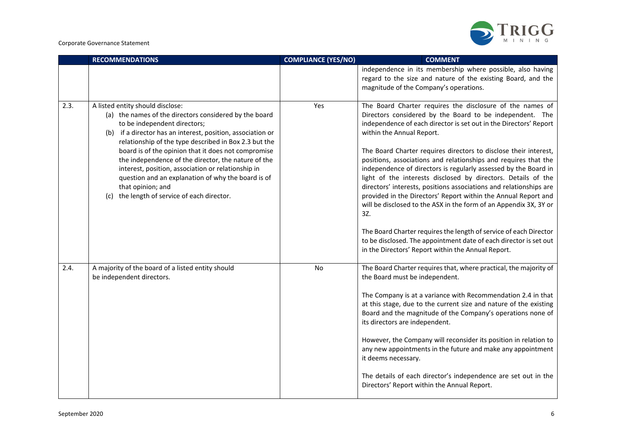

|      | <b>RECOMMENDATIONS</b>                                                                                                                                                                                                                                                                                                                                                                                                                                                                                                                           | <b>COMPLIANCE (YES/NO)</b> | <b>COMMENT</b>                                                                                                                                                                                                                                                                                                                                                                                                                                                                                                                                                                                                                                                                                                                                                                                                                                                                                                         |
|------|--------------------------------------------------------------------------------------------------------------------------------------------------------------------------------------------------------------------------------------------------------------------------------------------------------------------------------------------------------------------------------------------------------------------------------------------------------------------------------------------------------------------------------------------------|----------------------------|------------------------------------------------------------------------------------------------------------------------------------------------------------------------------------------------------------------------------------------------------------------------------------------------------------------------------------------------------------------------------------------------------------------------------------------------------------------------------------------------------------------------------------------------------------------------------------------------------------------------------------------------------------------------------------------------------------------------------------------------------------------------------------------------------------------------------------------------------------------------------------------------------------------------|
|      |                                                                                                                                                                                                                                                                                                                                                                                                                                                                                                                                                  |                            | independence in its membership where possible, also having<br>regard to the size and nature of the existing Board, and the<br>magnitude of the Company's operations.                                                                                                                                                                                                                                                                                                                                                                                                                                                                                                                                                                                                                                                                                                                                                   |
| 2.3. | A listed entity should disclose:<br>(a) the names of the directors considered by the board<br>to be independent directors;<br>(b) if a director has an interest, position, association or<br>relationship of the type described in Box 2.3 but the<br>board is of the opinion that it does not compromise<br>the independence of the director, the nature of the<br>interest, position, association or relationship in<br>question and an explanation of why the board is of<br>that opinion; and<br>(c) the length of service of each director. | Yes                        | The Board Charter requires the disclosure of the names of<br>Directors considered by the Board to be independent. The<br>independence of each director is set out in the Directors' Report<br>within the Annual Report.<br>The Board Charter requires directors to disclose their interest,<br>positions, associations and relationships and requires that the<br>independence of directors is regularly assessed by the Board in<br>light of the interests disclosed by directors. Details of the<br>directors' interests, positions associations and relationships are<br>provided in the Directors' Report within the Annual Report and<br>will be disclosed to the ASX in the form of an Appendix 3X, 3Y or<br>3Z.<br>The Board Charter requires the length of service of each Director<br>to be disclosed. The appointment date of each director is set out<br>in the Directors' Report within the Annual Report. |
| 2.4. | A majority of the board of a listed entity should<br>be independent directors.                                                                                                                                                                                                                                                                                                                                                                                                                                                                   | No                         | The Board Charter requires that, where practical, the majority of<br>the Board must be independent.<br>The Company is at a variance with Recommendation 2.4 in that<br>at this stage, due to the current size and nature of the existing<br>Board and the magnitude of the Company's operations none of<br>its directors are independent.<br>However, the Company will reconsider its position in relation to<br>any new appointments in the future and make any appointment<br>it deems necessary.<br>The details of each director's independence are set out in the<br>Directors' Report within the Annual Report.                                                                                                                                                                                                                                                                                                   |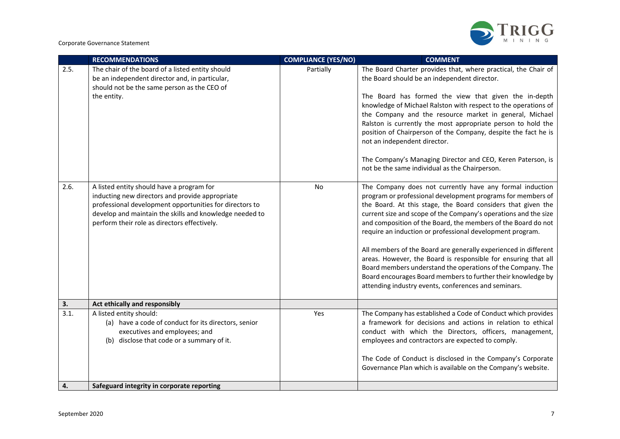

|      | <b>RECOMMENDATIONS</b>                                                                                                                                                                                                                                             | <b>COMPLIANCE (YES/NO)</b> | <b>COMMENT</b>                                                                                                                                                                                                                                                                                                                                                                                                                                                                                                                                                                                                                                                                                                       |
|------|--------------------------------------------------------------------------------------------------------------------------------------------------------------------------------------------------------------------------------------------------------------------|----------------------------|----------------------------------------------------------------------------------------------------------------------------------------------------------------------------------------------------------------------------------------------------------------------------------------------------------------------------------------------------------------------------------------------------------------------------------------------------------------------------------------------------------------------------------------------------------------------------------------------------------------------------------------------------------------------------------------------------------------------|
| 2.5. | The chair of the board of a listed entity should<br>be an independent director and, in particular,<br>should not be the same person as the CEO of                                                                                                                  | Partially                  | The Board Charter provides that, where practical, the Chair of<br>the Board should be an independent director.                                                                                                                                                                                                                                                                                                                                                                                                                                                                                                                                                                                                       |
|      | the entity.                                                                                                                                                                                                                                                        |                            | The Board has formed the view that given the in-depth<br>knowledge of Michael Ralston with respect to the operations of<br>the Company and the resource market in general, Michael<br>Ralston is currently the most appropriate person to hold the<br>position of Chairperson of the Company, despite the fact he is<br>not an independent director.<br>The Company's Managing Director and CEO, Keren Paterson, is                                                                                                                                                                                                                                                                                                  |
|      |                                                                                                                                                                                                                                                                    |                            | not be the same individual as the Chairperson.                                                                                                                                                                                                                                                                                                                                                                                                                                                                                                                                                                                                                                                                       |
| 2.6. | A listed entity should have a program for<br>inducting new directors and provide appropriate<br>professional development opportunities for directors to<br>develop and maintain the skills and knowledge needed to<br>perform their role as directors effectively. | <b>No</b>                  | The Company does not currently have any formal induction<br>program or professional development programs for members of<br>the Board. At this stage, the Board considers that given the<br>current size and scope of the Company's operations and the size<br>and composition of the Board, the members of the Board do not<br>require an induction or professional development program.<br>All members of the Board are generally experienced in different<br>areas. However, the Board is responsible for ensuring that all<br>Board members understand the operations of the Company. The<br>Board encourages Board members to further their knowledge by<br>attending industry events, conferences and seminars. |
| 3.   | Act ethically and responsibly                                                                                                                                                                                                                                      |                            |                                                                                                                                                                                                                                                                                                                                                                                                                                                                                                                                                                                                                                                                                                                      |
| 3.1. | A listed entity should:<br>(a) have a code of conduct for its directors, senior<br>executives and employees; and<br>(b) disclose that code or a summary of it.                                                                                                     | Yes                        | The Company has established a Code of Conduct which provides<br>a framework for decisions and actions in relation to ethical<br>conduct with which the Directors, officers, management,<br>employees and contractors are expected to comply.<br>The Code of Conduct is disclosed in the Company's Corporate<br>Governance Plan which is available on the Company's website.                                                                                                                                                                                                                                                                                                                                          |
| 4.   | Safeguard integrity in corporate reporting                                                                                                                                                                                                                         |                            |                                                                                                                                                                                                                                                                                                                                                                                                                                                                                                                                                                                                                                                                                                                      |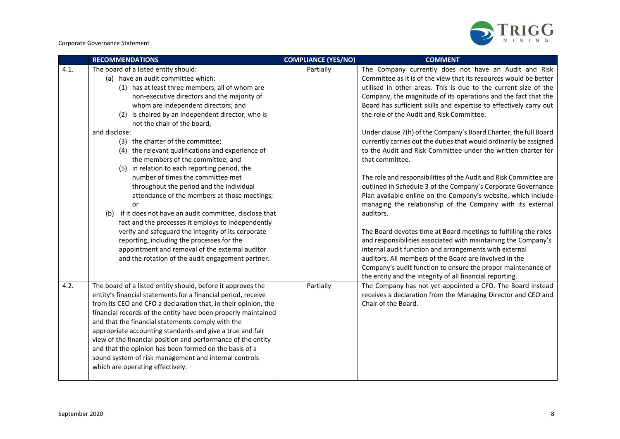

|      | <b>RECOMMENDATIONS</b>                                                                                                                                                                                                                                                                                                                                                                                                                                                                                                                                                                                                                                                                                                                                                                                                                                                                                                                                                             | <b>COMPLIANCE (YES/NO)</b> | <b>COMMENT</b>                                                                                                                                                                                                                                                                                                                                                                                                                                                                                                                                                                                                                                                                                                                                                                                                                                                                                                                                                                                                                                                                                                                                                                                                                                                                          |
|------|------------------------------------------------------------------------------------------------------------------------------------------------------------------------------------------------------------------------------------------------------------------------------------------------------------------------------------------------------------------------------------------------------------------------------------------------------------------------------------------------------------------------------------------------------------------------------------------------------------------------------------------------------------------------------------------------------------------------------------------------------------------------------------------------------------------------------------------------------------------------------------------------------------------------------------------------------------------------------------|----------------------------|-----------------------------------------------------------------------------------------------------------------------------------------------------------------------------------------------------------------------------------------------------------------------------------------------------------------------------------------------------------------------------------------------------------------------------------------------------------------------------------------------------------------------------------------------------------------------------------------------------------------------------------------------------------------------------------------------------------------------------------------------------------------------------------------------------------------------------------------------------------------------------------------------------------------------------------------------------------------------------------------------------------------------------------------------------------------------------------------------------------------------------------------------------------------------------------------------------------------------------------------------------------------------------------------|
| 4.1. | The board of a listed entity should:<br>(a) have an audit committee which:<br>(1) has at least three members, all of whom are<br>non-executive directors and the majority of<br>whom are independent directors; and<br>(2) is chaired by an independent director, who is<br>not the chair of the board,<br>and disclose:<br>(3) the charter of the committee;<br>(4) the relevant qualifications and experience of<br>the members of the committee; and<br>(5) in relation to each reporting period, the<br>number of times the committee met<br>throughout the period and the individual<br>attendance of the members at those meetings;<br>or<br>if it does not have an audit committee, disclose that<br>(b)<br>fact and the processes it employs to independently<br>verify and safeguard the integrity of its corporate<br>reporting, including the processes for the<br>appointment and removal of the external auditor<br>and the rotation of the audit engagement partner. | Partially                  | The Company currently does not have an Audit and Risk<br>Committee as it is of the view that its resources would be better<br>utilised in other areas. This is due to the current size of the<br>Company, the magnitude of its operations and the fact that the<br>Board has sufficient skills and expertise to effectively carry out<br>the role of the Audit and Risk Committee.<br>Under clause 7(h) of the Company's Board Charter, the full Board<br>currently carries out the duties that would ordinarily be assigned<br>to the Audit and Risk Committee under the written charter for<br>that committee.<br>The role and responsibilities of the Audit and Risk Committee are<br>outlined in Schedule 3 of the Company's Corporate Governance<br>Plan available online on the Company's website, which include<br>managing the relationship of the Company with its external<br>auditors.<br>The Board devotes time at Board meetings to fulfilling the roles<br>and responsibilities associated with maintaining the Company's<br>internal audit function and arrangements with external<br>auditors. All members of the Board are involved in the<br>Company's audit function to ensure the proper maintenance of<br>the entity and the integrity of all financial reporting. |
| 4.2. | The board of a listed entity should, before it approves the<br>entity's financial statements for a financial period, receive<br>from its CEO and CFO a declaration that, in their opinion, the<br>financial records of the entity have been properly maintained<br>and that the financial statements comply with the<br>appropriate accounting standards and give a true and fair<br>view of the financial position and performance of the entity<br>and that the opinion has been formed on the basis of a<br>sound system of risk management and internal controls<br>which are operating effectively.                                                                                                                                                                                                                                                                                                                                                                           | Partially                  | The Company has not yet appointed a CFO. The Board instead<br>receives a declaration from the Managing Director and CEO and<br>Chair of the Board.                                                                                                                                                                                                                                                                                                                                                                                                                                                                                                                                                                                                                                                                                                                                                                                                                                                                                                                                                                                                                                                                                                                                      |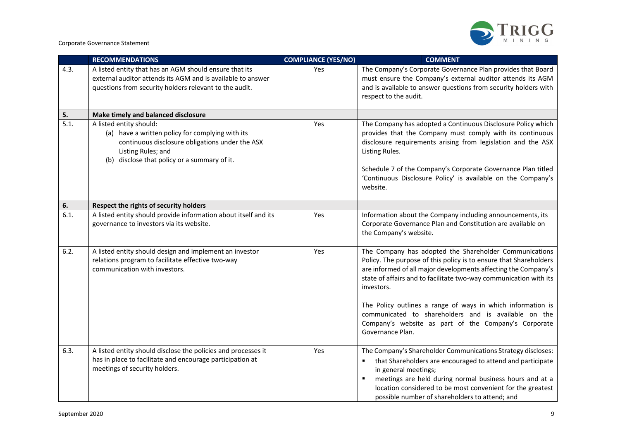

|      | <b>RECOMMENDATIONS</b>                                                                                                                                                                               | <b>COMPLIANCE (YES/NO)</b> | <b>COMMENT</b>                                                                                                                                                                                                                                                                                                                                                                                                                                                  |
|------|------------------------------------------------------------------------------------------------------------------------------------------------------------------------------------------------------|----------------------------|-----------------------------------------------------------------------------------------------------------------------------------------------------------------------------------------------------------------------------------------------------------------------------------------------------------------------------------------------------------------------------------------------------------------------------------------------------------------|
| 4.3. | A listed entity that has an AGM should ensure that its<br>external auditor attends its AGM and is available to answer<br>questions from security holders relevant to the audit.                      | <b>Yes</b>                 | The Company's Corporate Governance Plan provides that Board<br>must ensure the Company's external auditor attends its AGM<br>and is available to answer questions from security holders with<br>respect to the audit.                                                                                                                                                                                                                                           |
| 5.   | Make timely and balanced disclosure                                                                                                                                                                  |                            |                                                                                                                                                                                                                                                                                                                                                                                                                                                                 |
| 5.1. | A listed entity should:<br>(a) have a written policy for complying with its<br>continuous disclosure obligations under the ASX<br>Listing Rules; and<br>(b) disclose that policy or a summary of it. | Yes                        | The Company has adopted a Continuous Disclosure Policy which<br>provides that the Company must comply with its continuous<br>disclosure requirements arising from legislation and the ASX<br>Listing Rules.                                                                                                                                                                                                                                                     |
|      |                                                                                                                                                                                                      |                            | Schedule 7 of the Company's Corporate Governance Plan titled<br>'Continuous Disclosure Policy' is available on the Company's<br>website.                                                                                                                                                                                                                                                                                                                        |
| 6.   | Respect the rights of security holders                                                                                                                                                               |                            |                                                                                                                                                                                                                                                                                                                                                                                                                                                                 |
| 6.1. | A listed entity should provide information about itself and its<br>governance to investors via its website.                                                                                          | Yes                        | Information about the Company including announcements, its<br>Corporate Governance Plan and Constitution are available on<br>the Company's website.                                                                                                                                                                                                                                                                                                             |
| 6.2. | A listed entity should design and implement an investor<br>relations program to facilitate effective two-way<br>communication with investors.                                                        | Yes                        | The Company has adopted the Shareholder Communications<br>Policy. The purpose of this policy is to ensure that Shareholders<br>are informed of all major developments affecting the Company's<br>state of affairs and to facilitate two-way communication with its<br>investors.<br>The Policy outlines a range of ways in which information is<br>communicated to shareholders and is available on the<br>Company's website as part of the Company's Corporate |
| 6.3. | A listed entity should disclose the policies and processes it                                                                                                                                        | Yes                        | Governance Plan.<br>The Company's Shareholder Communications Strategy discloses:                                                                                                                                                                                                                                                                                                                                                                                |
|      | has in place to facilitate and encourage participation at<br>meetings of security holders.                                                                                                           |                            | that Shareholders are encouraged to attend and participate<br>in general meetings;<br>meetings are held during normal business hours and at a<br>location considered to be most convenient for the greatest<br>possible number of shareholders to attend; and                                                                                                                                                                                                   |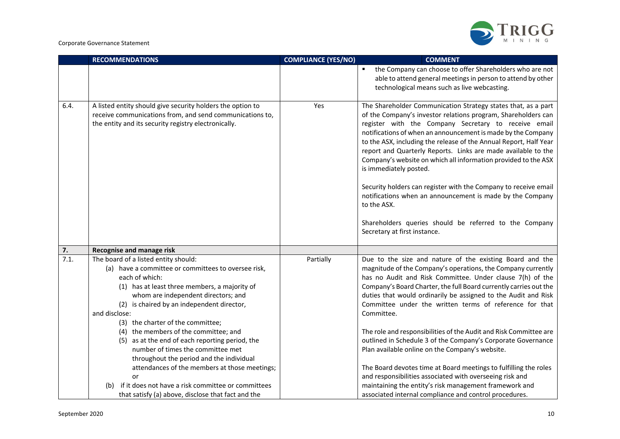

|      | <b>RECOMMENDATIONS</b>                                                                                                                                                                                                                                                                                                                                                                                                                                                                                                                        | <b>COMPLIANCE (YES/NO)</b> | <b>COMMENT</b>                                                                                                                                                                                                                                                                                                                                                                                                                                                                                                                                                                                                                                                                                                                    |
|------|-----------------------------------------------------------------------------------------------------------------------------------------------------------------------------------------------------------------------------------------------------------------------------------------------------------------------------------------------------------------------------------------------------------------------------------------------------------------------------------------------------------------------------------------------|----------------------------|-----------------------------------------------------------------------------------------------------------------------------------------------------------------------------------------------------------------------------------------------------------------------------------------------------------------------------------------------------------------------------------------------------------------------------------------------------------------------------------------------------------------------------------------------------------------------------------------------------------------------------------------------------------------------------------------------------------------------------------|
|      |                                                                                                                                                                                                                                                                                                                                                                                                                                                                                                                                               |                            | the Company can choose to offer Shareholders who are not<br>able to attend general meetings in person to attend by other<br>technological means such as live webcasting.                                                                                                                                                                                                                                                                                                                                                                                                                                                                                                                                                          |
| 6.4. | A listed entity should give security holders the option to<br>receive communications from, and send communications to,<br>the entity and its security registry electronically.                                                                                                                                                                                                                                                                                                                                                                | Yes                        | The Shareholder Communication Strategy states that, as a part<br>of the Company's investor relations program, Shareholders can<br>register with the Company Secretary to receive email<br>notifications of when an announcement is made by the Company<br>to the ASX, including the release of the Annual Report, Half Year<br>report and Quarterly Reports. Links are made available to the<br>Company's website on which all information provided to the ASX<br>is immediately posted.<br>Security holders can register with the Company to receive email<br>notifications when an announcement is made by the Company<br>to the ASX.<br>Shareholders queries should be referred to the Company<br>Secretary at first instance. |
| 7.   | <b>Recognise and manage risk</b>                                                                                                                                                                                                                                                                                                                                                                                                                                                                                                              |                            |                                                                                                                                                                                                                                                                                                                                                                                                                                                                                                                                                                                                                                                                                                                                   |
| 7.1. | The board of a listed entity should:<br>(a) have a committee or committees to oversee risk,<br>each of which:<br>(1) has at least three members, a majority of<br>whom are independent directors; and<br>(2) is chaired by an independent director,<br>and disclose:<br>(3) the charter of the committee;<br>(4) the members of the committee; and<br>(5) as at the end of each reporting period, the<br>number of times the committee met<br>throughout the period and the individual<br>attendances of the members at those meetings;<br>or | Partially                  | Due to the size and nature of the existing Board and the<br>magnitude of the Company's operations, the Company currently<br>has no Audit and Risk Committee. Under clause 7(h) of the<br>Company's Board Charter, the full Board currently carries out the<br>duties that would ordinarily be assigned to the Audit and Risk<br>Committee under the written terms of reference for that<br>Committee.<br>The role and responsibilities of the Audit and Risk Committee are<br>outlined in Schedule 3 of the Company's Corporate Governance<br>Plan available online on the Company's website.<br>The Board devotes time at Board meetings to fulfilling the roles<br>and responsibilities associated with overseeing risk and     |
|      | if it does not have a risk committee or committees<br>(b)<br>that satisfy (a) above, disclose that fact and the                                                                                                                                                                                                                                                                                                                                                                                                                               |                            | maintaining the entity's risk management framework and<br>associated internal compliance and control procedures.                                                                                                                                                                                                                                                                                                                                                                                                                                                                                                                                                                                                                  |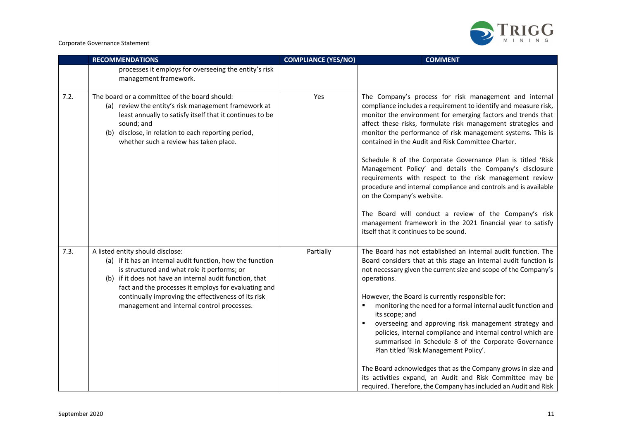

|      | <b>RECOMMENDATIONS</b>                                                                                                                                                                                                                                                                                                                                                 | <b>COMPLIANCE (YES/NO)</b> | <b>COMMENT</b>                                                                                                                                                                                                                                                                                                                                                                                                                                                                                                                                                                                                                                                                                                                                                                                                                      |
|------|------------------------------------------------------------------------------------------------------------------------------------------------------------------------------------------------------------------------------------------------------------------------------------------------------------------------------------------------------------------------|----------------------------|-------------------------------------------------------------------------------------------------------------------------------------------------------------------------------------------------------------------------------------------------------------------------------------------------------------------------------------------------------------------------------------------------------------------------------------------------------------------------------------------------------------------------------------------------------------------------------------------------------------------------------------------------------------------------------------------------------------------------------------------------------------------------------------------------------------------------------------|
|      | processes it employs for overseeing the entity's risk<br>management framework.                                                                                                                                                                                                                                                                                         |                            |                                                                                                                                                                                                                                                                                                                                                                                                                                                                                                                                                                                                                                                                                                                                                                                                                                     |
| 7.2. | The board or a committee of the board should:<br>(a) review the entity's risk management framework at<br>least annually to satisfy itself that it continues to be<br>sound; and<br>(b) disclose, in relation to each reporting period,<br>whether such a review has taken place.                                                                                       | Yes                        | The Company's process for risk management and internal<br>compliance includes a requirement to identify and measure risk,<br>monitor the environment for emerging factors and trends that<br>affect these risks, formulate risk management strategies and<br>monitor the performance of risk management systems. This is<br>contained in the Audit and Risk Committee Charter.<br>Schedule 8 of the Corporate Governance Plan is titled 'Risk<br>Management Policy' and details the Company's disclosure<br>requirements with respect to the risk management review<br>procedure and internal compliance and controls and is available<br>on the Company's website.<br>The Board will conduct a review of the Company's risk<br>management framework in the 2021 financial year to satisfy<br>itself that it continues to be sound. |
| 7.3. | A listed entity should disclose:<br>(a) if it has an internal audit function, how the function<br>is structured and what role it performs; or<br>(b) if it does not have an internal audit function, that<br>fact and the processes it employs for evaluating and<br>continually improving the effectiveness of its risk<br>management and internal control processes. | Partially                  | The Board has not established an internal audit function. The<br>Board considers that at this stage an internal audit function is<br>not necessary given the current size and scope of the Company's<br>operations.<br>However, the Board is currently responsible for:<br>monitoring the need for a formal internal audit function and<br>its scope; and<br>overseeing and approving risk management strategy and<br>policies, internal compliance and internal control which are<br>summarised in Schedule 8 of the Corporate Governance<br>Plan titled 'Risk Management Policy'.<br>The Board acknowledges that as the Company grows in size and<br>its activities expand, an Audit and Risk Committee may be<br>required. Therefore, the Company has included an Audit and Risk                                                 |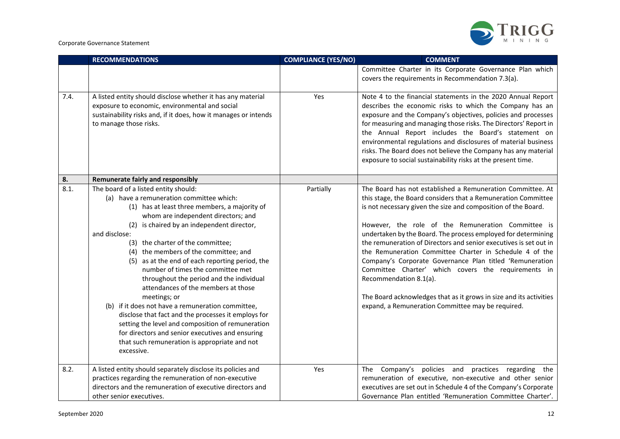

|      | <b>RECOMMENDATIONS</b>                                                                                                                                                                                                                                                                                                                                                                                                                                                                                                                                                                                                                                                                                                                                                                               | <b>COMPLIANCE (YES/NO)</b> | <b>COMMENT</b>                                                                                                                                                                                                                                                                                                                                                                                                                                                                                                                                                                                                                                                                                                              |
|------|------------------------------------------------------------------------------------------------------------------------------------------------------------------------------------------------------------------------------------------------------------------------------------------------------------------------------------------------------------------------------------------------------------------------------------------------------------------------------------------------------------------------------------------------------------------------------------------------------------------------------------------------------------------------------------------------------------------------------------------------------------------------------------------------------|----------------------------|-----------------------------------------------------------------------------------------------------------------------------------------------------------------------------------------------------------------------------------------------------------------------------------------------------------------------------------------------------------------------------------------------------------------------------------------------------------------------------------------------------------------------------------------------------------------------------------------------------------------------------------------------------------------------------------------------------------------------------|
|      |                                                                                                                                                                                                                                                                                                                                                                                                                                                                                                                                                                                                                                                                                                                                                                                                      |                            | Committee Charter in its Corporate Governance Plan which<br>covers the requirements in Recommendation 7.3(a).                                                                                                                                                                                                                                                                                                                                                                                                                                                                                                                                                                                                               |
| 7.4. | A listed entity should disclose whether it has any material<br>exposure to economic, environmental and social<br>sustainability risks and, if it does, how it manages or intends<br>to manage those risks.                                                                                                                                                                                                                                                                                                                                                                                                                                                                                                                                                                                           | Yes                        | Note 4 to the financial statements in the 2020 Annual Report<br>describes the economic risks to which the Company has an<br>exposure and the Company's objectives, policies and processes<br>for measuring and managing those risks. The Directors' Report in<br>the Annual Report includes the Board's statement on<br>environmental regulations and disclosures of material business<br>risks. The Board does not believe the Company has any material<br>exposure to social sustainability risks at the present time.                                                                                                                                                                                                    |
| 8.   | Remunerate fairly and responsibly                                                                                                                                                                                                                                                                                                                                                                                                                                                                                                                                                                                                                                                                                                                                                                    |                            |                                                                                                                                                                                                                                                                                                                                                                                                                                                                                                                                                                                                                                                                                                                             |
| 8.1. | The board of a listed entity should:<br>(a) have a remuneration committee which:<br>(1) has at least three members, a majority of<br>whom are independent directors; and<br>(2) is chaired by an independent director,<br>and disclose:<br>(3) the charter of the committee;<br>(4) the members of the committee; and<br>(5) as at the end of each reporting period, the<br>number of times the committee met<br>throughout the period and the individual<br>attendances of the members at those<br>meetings; or<br>(b) if it does not have a remuneration committee,<br>disclose that fact and the processes it employs for<br>setting the level and composition of remuneration<br>for directors and senior executives and ensuring<br>that such remuneration is appropriate and not<br>excessive. | Partially                  | The Board has not established a Remuneration Committee. At<br>this stage, the Board considers that a Remuneration Committee<br>is not necessary given the size and composition of the Board.<br>However, the role of the Remuneration Committee is<br>undertaken by the Board. The process employed for determining<br>the remuneration of Directors and senior executives is set out in<br>the Remuneration Committee Charter in Schedule 4 of the<br>Company's Corporate Governance Plan titled 'Remuneration<br>Committee Charter' which covers the requirements in<br>Recommendation 8.1(a).<br>The Board acknowledges that as it grows in size and its activities<br>expand, a Remuneration Committee may be required. |
| 8.2. | A listed entity should separately disclose its policies and<br>practices regarding the remuneration of non-executive<br>directors and the remuneration of executive directors and<br>other senior executives.                                                                                                                                                                                                                                                                                                                                                                                                                                                                                                                                                                                        | Yes                        | Company's policies and practices regarding the<br>The<br>remuneration of executive, non-executive and other senior<br>executives are set out in Schedule 4 of the Company's Corporate<br>Governance Plan entitled 'Remuneration Committee Charter'.                                                                                                                                                                                                                                                                                                                                                                                                                                                                         |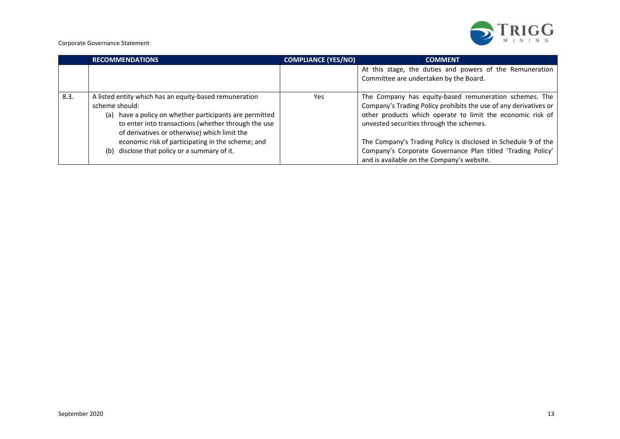

|      | <b>RECOMMENDATIONS</b>                                                                                                                                                                                                                     | <b>COMPLIANCE (YES/NO)</b> | <b>COMMENT</b>                                                                                                                                                                                                                       |
|------|--------------------------------------------------------------------------------------------------------------------------------------------------------------------------------------------------------------------------------------------|----------------------------|--------------------------------------------------------------------------------------------------------------------------------------------------------------------------------------------------------------------------------------|
|      |                                                                                                                                                                                                                                            |                            | At this stage, the duties and powers of the Remuneration<br>Committee are undertaken by the Board.                                                                                                                                   |
| 8.3. | A listed entity which has an equity-based remuneration<br>scheme should:<br>(a) have a policy on whether participants are permitted<br>to enter into transactions (whether through the use<br>of derivatives or otherwise) which limit the | Yes                        | The Company has equity-based remuneration schemes. The<br>Company's Trading Policy prohibits the use of any derivatives or<br>other products which operate to limit the economic risk of<br>unvested securities through the schemes. |
|      | economic risk of participating in the scheme; and<br>(b) disclose that policy or a summary of it.                                                                                                                                          |                            | The Company's Trading Policy is disclosed in Schedule 9 of the<br>Company's Corporate Governance Plan titled 'Trading Policy'<br>and is available on the Company's website.                                                          |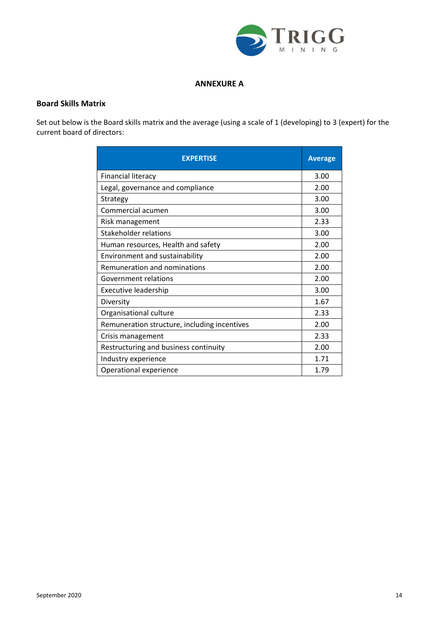

## **ANNEXURE A**

# **Board Skills Matrix**

Set out below is the Board skills matrix and the average (using a scale of 1 (developing) to 3 (expert) for the current board of directors:

| <b>EXPERTISE</b>                             | <b>Average</b> |
|----------------------------------------------|----------------|
| <b>Financial literacy</b>                    | 3.00           |
| Legal, governance and compliance             | 2.00           |
| Strategy                                     | 3.00           |
| Commercial acumen                            | 3.00           |
| Risk management                              | 2.33           |
| Stakeholder relations                        | 3.00           |
| Human resources, Health and safety           | 2.00           |
| Environment and sustainability               | 2.00           |
| Remuneration and nominations                 | 2.00           |
| Government relations                         | 2.00           |
| <b>Executive leadership</b>                  | 3.00           |
| Diversity                                    | 1.67           |
| Organisational culture                       | 2.33           |
| Remuneration structure, including incentives | 2.00           |
| Crisis management                            | 2.33           |
| Restructuring and business continuity        | 2.00           |
| Industry experience                          | 1.71           |
| Operational experience                       | 1.79           |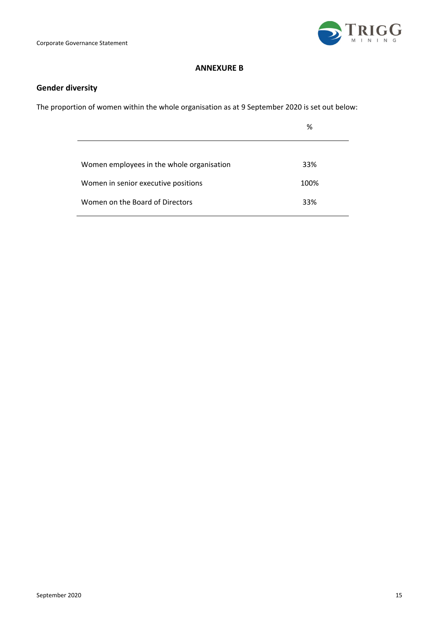

## **ANNEXURE B**

# **Gender diversity**

The proportion of women within the whole organisation as at 9 September 2020 is set out below:

|                                           | %    |
|-------------------------------------------|------|
|                                           |      |
| Women employees in the whole organisation | 33%  |
| Women in senior executive positions       | 100% |
| Women on the Board of Directors           | 33%  |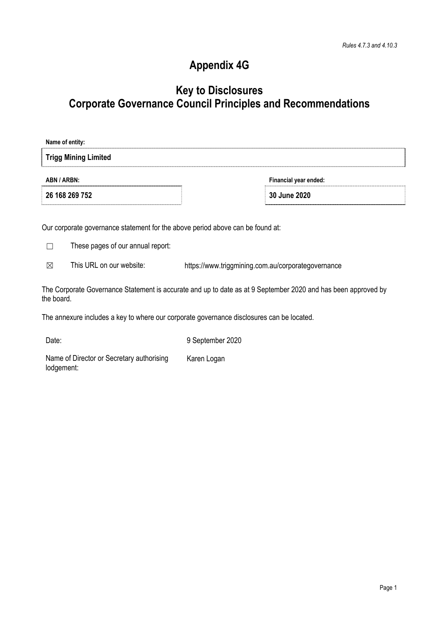# **Appendix 4G**

# **Key to Disclosures Corporate Governance Council Principles and Recommendations**

| Name of entity:             |                       |  |
|-----------------------------|-----------------------|--|
| <b>Trigg Mining Limited</b> |                       |  |
| ABN / ARBN:                 | Financial year ended: |  |
| 26 168 269 752              | 30 June 2020          |  |

Our corporate governance statement for the above period above can be found at:

☐ These pages of our annual report:

☒ This URL on our website: https://www.triggmining.com.au/corporategovernance

The Corporate Governance Statement is accurate and up to date as at 9 September 2020 and has been approved by the board.

The annexure includes a key to where our corporate governance disclosures can be located.

Date: 9 September 2020

Name of Director or Secretary authorising lodgement: Karen Logan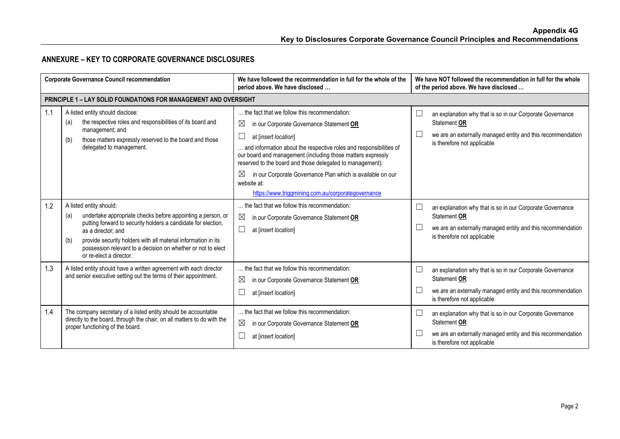# **ANNEXURE – KEY TO CORPORATE GOVERNANCE DISCLOSURES**

|     | <b>Corporate Governance Council recommendation</b>                                                                                                                                                                                                                                                                                                      | We have followed the recommendation in full for the whole of the<br>period above. We have disclosed                                                                                                                                                                                                                                                                                                                                                                                 | We have NOT followed the recommendation in full for the whole<br>of the period above. We have disclosed                                                                                     |
|-----|---------------------------------------------------------------------------------------------------------------------------------------------------------------------------------------------------------------------------------------------------------------------------------------------------------------------------------------------------------|-------------------------------------------------------------------------------------------------------------------------------------------------------------------------------------------------------------------------------------------------------------------------------------------------------------------------------------------------------------------------------------------------------------------------------------------------------------------------------------|---------------------------------------------------------------------------------------------------------------------------------------------------------------------------------------------|
|     | <b>PRINCIPLE 1 - LAY SOLID FOUNDATIONS FOR MANAGEMENT AND OVERSIGHT</b>                                                                                                                                                                                                                                                                                 |                                                                                                                                                                                                                                                                                                                                                                                                                                                                                     |                                                                                                                                                                                             |
| 1.1 | A listed entity should disclose:<br>the respective roles and responsibilities of its board and<br>(a)<br>management; and<br>those matters expressly reserved to the board and those<br>(b)<br>delegated to management.                                                                                                                                  | the fact that we follow this recommendation:<br>$\boxtimes$<br>in our Corporate Governance Statement OR<br>at [insert location]<br>and information about the respective roles and responsibilities of<br>our board and management (including those matters expressly<br>reserved to the board and those delegated to management):<br>$\boxtimes$<br>in our Corporate Governance Plan which is available on our<br>website at:<br>https://www.triggmining.com.au/corporategovernance | $\Box$<br>an explanation why that is so in our Corporate Governance<br>Statement OR<br>$\Box$<br>we are an externally managed entity and this recommendation<br>is therefore not applicable |
| 1.2 | A listed entity should:<br>undertake appropriate checks before appointing a person, or<br>(a)<br>putting forward to security holders a candidate for election,<br>as a director; and<br>provide security holders with all material information in its<br>(b)<br>possession relevant to a decision on whether or not to elect<br>or re-elect a director. | the fact that we follow this recommendation:<br>$\boxtimes$<br>in our Corporate Governance Statement OR<br>at [insert location]                                                                                                                                                                                                                                                                                                                                                     | $\Box$<br>an explanation why that is so in our Corporate Governance<br>Statement OR<br>$\Box$<br>we are an externally managed entity and this recommendation<br>is therefore not applicable |
| 1.3 | A listed entity should have a written agreement with each director<br>and senior executive setting out the terms of their appointment.                                                                                                                                                                                                                  | the fact that we follow this recommendation:<br>⊠<br>in our Corporate Governance Statement OR<br>at [insert location]                                                                                                                                                                                                                                                                                                                                                               | $\Box$<br>an explanation why that is so in our Corporate Governance<br>Statement OR<br>$\Box$<br>we are an externally managed entity and this recommendation<br>is therefore not applicable |
| 1.4 | The company secretary of a listed entity should be accountable<br>directly to the board, through the chair, on all matters to do with the<br>proper functioning of the board.                                                                                                                                                                           | the fact that we follow this recommendation:<br>$\boxtimes$<br>in our Corporate Governance Statement OR<br>at [insert location]                                                                                                                                                                                                                                                                                                                                                     | $\Box$<br>an explanation why that is so in our Corporate Governance<br>Statement OR<br>we are an externally managed entity and this recommendation<br>is therefore not applicable           |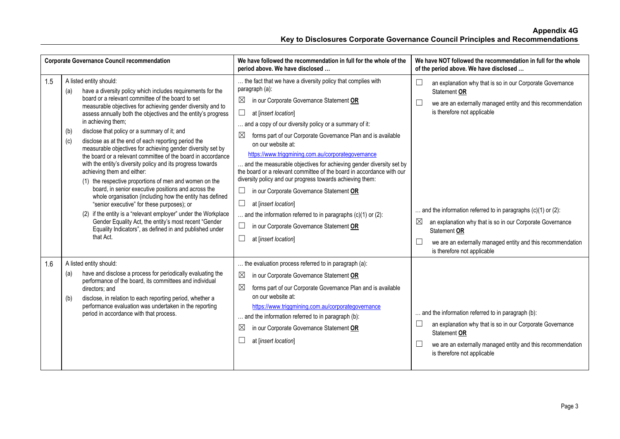| <b>Corporate Governance Council recommendation</b> |                                                                                                                                                                                                                                                                                                                                                                                                                                                                                                                                                                                                                                                                                                                                                                                                                                                                                                                                                                                                                                                                                         | We have followed the recommendation in full for the whole of the<br>period above. We have disclosed                                                                                                                                                                                                                                                                                                                                                                                                                                                                                                                                                                                                                                                                                                                                 | We have NOT followed the recommendation in full for the whole<br>of the period above. We have disclosed                                                                                                                                                                                                                                                                                                                                                                                |
|----------------------------------------------------|-----------------------------------------------------------------------------------------------------------------------------------------------------------------------------------------------------------------------------------------------------------------------------------------------------------------------------------------------------------------------------------------------------------------------------------------------------------------------------------------------------------------------------------------------------------------------------------------------------------------------------------------------------------------------------------------------------------------------------------------------------------------------------------------------------------------------------------------------------------------------------------------------------------------------------------------------------------------------------------------------------------------------------------------------------------------------------------------|-------------------------------------------------------------------------------------------------------------------------------------------------------------------------------------------------------------------------------------------------------------------------------------------------------------------------------------------------------------------------------------------------------------------------------------------------------------------------------------------------------------------------------------------------------------------------------------------------------------------------------------------------------------------------------------------------------------------------------------------------------------------------------------------------------------------------------------|----------------------------------------------------------------------------------------------------------------------------------------------------------------------------------------------------------------------------------------------------------------------------------------------------------------------------------------------------------------------------------------------------------------------------------------------------------------------------------------|
| 1.5                                                | A listed entity should:<br>have a diversity policy which includes requirements for the<br>(a)<br>board or a relevant committee of the board to set<br>measurable objectives for achieving gender diversity and to<br>assess annually both the objectives and the entity's progress<br>in achieving them;<br>disclose that policy or a summary of it; and<br>(b)<br>disclose as at the end of each reporting period the<br>(c)<br>measurable objectives for achieving gender diversity set by<br>the board or a relevant committee of the board in accordance<br>with the entity's diversity policy and its progress towards<br>achieving them and either:<br>(1) the respective proportions of men and women on the<br>board, in senior executive positions and across the<br>whole organisation (including how the entity has defined<br>"senior executive" for these purposes); or<br>(2) if the entity is a "relevant employer" under the Workplace<br>Gender Equality Act, the entity's most recent "Gender<br>Equality Indicators", as defined in and published under<br>that Act. | the fact that we have a diversity policy that complies with<br>paragraph (a):<br>⊠<br>in our Corporate Governance Statement OR<br>$\Box$<br>at [insert location]<br>and a copy of our diversity policy or a summary of it:<br>forms part of our Corporate Governance Plan and is available<br>$\boxtimes$<br>on our website at:<br>https://www.triggmining.com.au/corporategovernance<br>and the measurable objectives for achieving gender diversity set by<br>the board or a relevant committee of the board in accordance with our<br>diversity policy and our progress towards achieving them:<br>$\Box$<br>in our Corporate Governance Statement OR<br>$\Box$<br>at [insert location]<br>and the information referred to in paragraphs $(c)(1)$ or $(2)$ :<br>in our Corporate Governance Statement OR<br>at [insert location] | $\Box$<br>an explanation why that is so in our Corporate Governance<br>Statement OR<br>$\overline{\phantom{a}}$<br>we are an externally managed entity and this recommendation<br>is therefore not applicable<br>and the information referred to in paragraphs $(c)(1)$ or $(2)$ :<br>$\boxtimes$<br>an explanation why that is so in our Corporate Governance<br>Statement OR<br>$\Box$<br>we are an externally managed entity and this recommendation<br>is therefore not applicable |
| 1.6                                                | A listed entity should:<br>have and disclose a process for periodically evaluating the<br>(a)<br>performance of the board, its committees and individual<br>directors; and<br>disclose, in relation to each reporting period, whether a<br>(b)<br>performance evaluation was undertaken in the reporting<br>period in accordance with that process.                                                                                                                                                                                                                                                                                                                                                                                                                                                                                                                                                                                                                                                                                                                                     | the evaluation process referred to in paragraph (a):<br>⊠<br>in our Corporate Governance Statement OR<br>$\boxtimes$<br>forms part of our Corporate Governance Plan and is available<br>on our website at:<br>https://www.triggmining.com.au/corporategovernance<br>and the information referred to in paragraph (b):<br>in our Corporate Governance Statement OR<br>$\boxtimes$<br>at [insert location]                                                                                                                                                                                                                                                                                                                                                                                                                            | and the information referred to in paragraph (b):<br>$\Box$<br>an explanation why that is so in our Corporate Governance<br>Statement OR<br>$\Box$<br>we are an externally managed entity and this recommendation<br>is therefore not applicable                                                                                                                                                                                                                                       |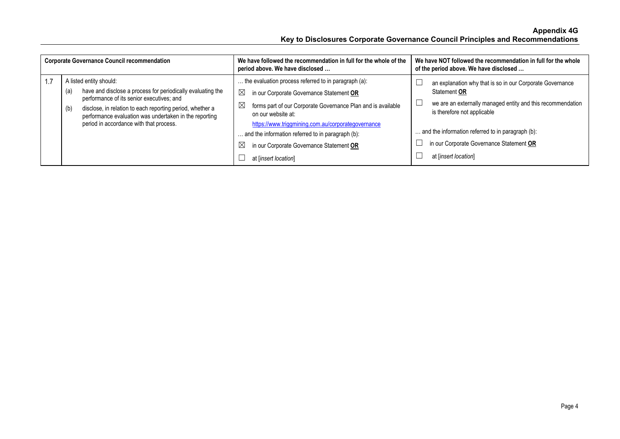|     | <b>Corporate Governance Council recommendation</b>                                                                                                                                                                                                                                                                  | We have followed the recommendation in full for the whole of the<br>period above. We have disclosed                                                                                                                                                                                                                                                                                         | We have NOT followed the recommendation in full for the whole<br>of the period above. We have disclosed                                                                                                                                                                                          |
|-----|---------------------------------------------------------------------------------------------------------------------------------------------------------------------------------------------------------------------------------------------------------------------------------------------------------------------|---------------------------------------------------------------------------------------------------------------------------------------------------------------------------------------------------------------------------------------------------------------------------------------------------------------------------------------------------------------------------------------------|--------------------------------------------------------------------------------------------------------------------------------------------------------------------------------------------------------------------------------------------------------------------------------------------------|
| 1.7 | A listed entity should:<br>have and disclose a process for periodically evaluating the<br>(a)<br>performance of its senior executives; and<br>disclose, in relation to each reporting period, whether a<br>(b)<br>performance evaluation was undertaken in the reporting<br>period in accordance with that process. | the evaluation process referred to in paragraph (a):<br>⊠<br>in our Corporate Governance Statement OR<br>⊠<br>forms part of our Corporate Governance Plan and is available<br>on our website at:<br>https://www.triggmining.com.au/corporategovernance<br>and the information referred to in paragraph (b):<br>$\times$<br>in our Corporate Governance Statement OR<br>at [insert location] | an explanation why that is so in our Corporate Governance<br>Statement OR<br>we are an externally managed entity and this recommendation<br>is therefore not applicable<br>and the information referred to in paragraph (b):<br>in our Corporate Governance Statement OR<br>at [insert location] |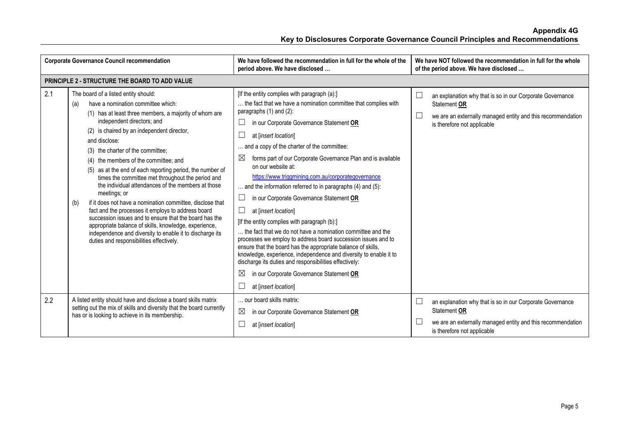|     | <b>Corporate Governance Council recommendation</b>                                                                                                                                                                                                                                                                                                                                                                                                                                                                                                                                                                                                                                                                                                                                                                                                                  | We have followed the recommendation in full for the whole of the<br>period above. We have disclosed                                                                                                                                                                                                                                                                                                                                                                                                                                                                                                                                                                                                                                                                                                                                                                                                                                                                                                                                        | We have NOT followed the recommendation in full for the whole<br>of the period above. We have disclosed                                                                      |
|-----|---------------------------------------------------------------------------------------------------------------------------------------------------------------------------------------------------------------------------------------------------------------------------------------------------------------------------------------------------------------------------------------------------------------------------------------------------------------------------------------------------------------------------------------------------------------------------------------------------------------------------------------------------------------------------------------------------------------------------------------------------------------------------------------------------------------------------------------------------------------------|--------------------------------------------------------------------------------------------------------------------------------------------------------------------------------------------------------------------------------------------------------------------------------------------------------------------------------------------------------------------------------------------------------------------------------------------------------------------------------------------------------------------------------------------------------------------------------------------------------------------------------------------------------------------------------------------------------------------------------------------------------------------------------------------------------------------------------------------------------------------------------------------------------------------------------------------------------------------------------------------------------------------------------------------|------------------------------------------------------------------------------------------------------------------------------------------------------------------------------|
|     | PRINCIPLE 2 - STRUCTURE THE BOARD TO ADD VALUE                                                                                                                                                                                                                                                                                                                                                                                                                                                                                                                                                                                                                                                                                                                                                                                                                      |                                                                                                                                                                                                                                                                                                                                                                                                                                                                                                                                                                                                                                                                                                                                                                                                                                                                                                                                                                                                                                            |                                                                                                                                                                              |
| 2.1 | The board of a listed entity should:<br>have a nomination committee which:<br>(a)<br>(1) has at least three members, a majority of whom are<br>independent directors; and<br>(2) is chaired by an independent director,<br>and disclose:<br>(3) the charter of the committee:<br>(4) the members of the committee: and<br>(5) as at the end of each reporting period, the number of<br>times the committee met throughout the period and<br>the individual attendances of the members at those<br>meetings; or<br>if it does not have a nomination committee, disclose that<br>(b)<br>fact and the processes it employs to address board<br>succession issues and to ensure that the board has the<br>appropriate balance of skills, knowledge, experience,<br>independence and diversity to enable it to discharge its<br>duties and responsibilities effectively. | [If the entity complies with paragraph (a):]<br>the fact that we have a nomination committee that complies with<br>paragraphs $(1)$ and $(2)$ :<br>in our Corporate Governance Statement OR<br>at [insert location]<br>and a copy of the charter of the committee:<br>forms part of our Corporate Governance Plan and is available<br>$\boxtimes$<br>on our website at:<br>https://www.triggmining.com.au/corporategovernance<br>$\ldots$ and the information referred to in paragraphs (4) and (5):<br>in our Corporate Governance Statement OR<br>at [insert location]<br>[If the entity complies with paragraph (b):]<br>the fact that we do not have a nomination committee and the<br>processes we employ to address board succession issues and to<br>ensure that the board has the appropriate balance of skills,<br>knowledge, experience, independence and diversity to enable it to<br>discharge its duties and responsibilities effectively:<br>$\boxtimes$<br>in our Corporate Governance Statement OR<br>at [insert location] | L<br>an explanation why that is so in our Corporate Governance<br>Statement OR<br>we are an externally managed entity and this recommendation<br>is therefore not applicable |
| 2.2 | A listed entity should have and disclose a board skills matrix<br>setting out the mix of skills and diversity that the board currently<br>has or is looking to achieve in its membership.                                                                                                                                                                                                                                                                                                                                                                                                                                                                                                                                                                                                                                                                           | our board skills matrix:<br>$\boxtimes$<br>in our Corporate Governance Statement OR<br>at [insert location]                                                                                                                                                                                                                                                                                                                                                                                                                                                                                                                                                                                                                                                                                                                                                                                                                                                                                                                                | an explanation why that is so in our Corporate Governance<br>Statement OR<br>we are an externally managed entity and this recommendation<br>is therefore not applicable      |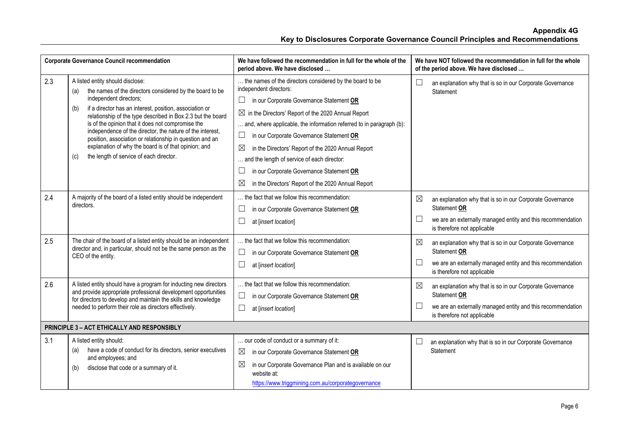| <b>Corporate Governance Council recommendation</b> |                                                                                                                                                                                                                                                                                                                                                                                                                                                                                                                                                        | We have followed the recommendation in full for the whole of the<br>period above. We have disclosed                                                                                                                                                                                                                                                                                                                                                                                                                                                            |                       | We have NOT followed the recommendation in full for the whole<br>of the period above. We have disclosed                                                                 |
|----------------------------------------------------|--------------------------------------------------------------------------------------------------------------------------------------------------------------------------------------------------------------------------------------------------------------------------------------------------------------------------------------------------------------------------------------------------------------------------------------------------------------------------------------------------------------------------------------------------------|----------------------------------------------------------------------------------------------------------------------------------------------------------------------------------------------------------------------------------------------------------------------------------------------------------------------------------------------------------------------------------------------------------------------------------------------------------------------------------------------------------------------------------------------------------------|-----------------------|-------------------------------------------------------------------------------------------------------------------------------------------------------------------------|
| 2.3                                                | A listed entity should disclose:<br>the names of the directors considered by the board to be<br>(a)<br>independent directors;<br>if a director has an interest, position, association or<br>(b)<br>relationship of the type described in Box 2.3 but the board<br>is of the opinion that it does not compromise the<br>independence of the director, the nature of the interest,<br>position, association or relationship in question and an<br>explanation of why the board is of that opinion; and<br>the length of service of each director.<br>(c) | the names of the directors considered by the board to be<br>independent directors:<br>$\Box$<br>in our Corporate Governance Statement OR<br>$\boxtimes$ in the Directors' Report of the 2020 Annual Report<br>and, where applicable, the information referred to in paragraph (b):<br>⊔<br>in our Corporate Governance Statement OR<br>$\boxtimes$<br>in the Directors' Report of the 2020 Annual Report<br>and the length of service of each director:<br>in our Corporate Governance Statement OR<br>⊠<br>in the Directors' Report of the 2020 Annual Report | $\Box$                | an explanation why that is so in our Corporate Governance<br>Statement                                                                                                  |
| 2.4                                                | A majority of the board of a listed entity should be independent<br>directors.                                                                                                                                                                                                                                                                                                                                                                                                                                                                         | the fact that we follow this recommendation:<br>in our Corporate Governance Statement OR<br>at [insert location]                                                                                                                                                                                                                                                                                                                                                                                                                                               | $\boxtimes$<br>$\Box$ | an explanation why that is so in our Corporate Governance<br>Statement OR<br>we are an externally managed entity and this recommendation<br>is therefore not applicable |
| 2.5                                                | The chair of the board of a listed entity should be an independent<br>director and, in particular, should not be the same person as the<br>CEO of the entity.                                                                                                                                                                                                                                                                                                                                                                                          | the fact that we follow this recommendation:<br>$\Box$<br>in our Corporate Governance Statement OR<br>at [insert location]                                                                                                                                                                                                                                                                                                                                                                                                                                     | $\boxtimes$<br>$\Box$ | an explanation why that is so in our Corporate Governance<br>Statement OR<br>we are an externally managed entity and this recommendation<br>is therefore not applicable |
| 2.6                                                | A listed entity should have a program for inducting new directors<br>and provide appropriate professional development opportunities<br>for directors to develop and maintain the skills and knowledge<br>needed to perform their role as directors effectively.                                                                                                                                                                                                                                                                                        | the fact that we follow this recommendation:<br>in our Corporate Governance Statement OR<br>⊔<br>at [insert location]                                                                                                                                                                                                                                                                                                                                                                                                                                          | $\boxtimes$<br>$\Box$ | an explanation why that is so in our Corporate Governance<br>Statement OR<br>we are an externally managed entity and this recommendation<br>is therefore not applicable |
|                                                    | PRINCIPLE 3 - ACT ETHICALLY AND RESPONSIBLY                                                                                                                                                                                                                                                                                                                                                                                                                                                                                                            |                                                                                                                                                                                                                                                                                                                                                                                                                                                                                                                                                                |                       |                                                                                                                                                                         |
| 3.1                                                | A listed entity should:<br>have a code of conduct for its directors, senior executives<br>(a)<br>and employees; and<br>disclose that code or a summary of it.<br>(b)                                                                                                                                                                                                                                                                                                                                                                                   | our code of conduct or a summary of it:<br>$\boxtimes$<br>in our Corporate Governance Statement OR<br>in our Corporate Governance Plan and is available on our<br>$\boxtimes$<br>website at:<br>https://www.triggmining.com.au/corporategovernance                                                                                                                                                                                                                                                                                                             | $\Box$                | an explanation why that is so in our Corporate Governance<br><b>Statement</b>                                                                                           |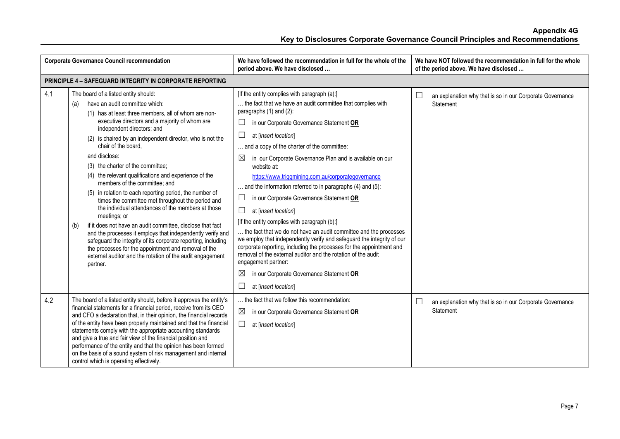|     | <b>Corporate Governance Council recommendation</b>                                                                                                                                                                                                                                                                                                                                                                                                                                                                                                                                                                                                                                                                                                                                                                                                                                                                                                                                   | We have followed the recommendation in full for the whole of the<br>period above. We have disclosed                                                                                                                                                                                                                                                                                                                                                                                                                                                                                                                                                                                                                                                                                                                                                                                                                                                                                                     | We have NOT followed the recommendation in full for the whole<br>of the period above. We have disclosed |
|-----|--------------------------------------------------------------------------------------------------------------------------------------------------------------------------------------------------------------------------------------------------------------------------------------------------------------------------------------------------------------------------------------------------------------------------------------------------------------------------------------------------------------------------------------------------------------------------------------------------------------------------------------------------------------------------------------------------------------------------------------------------------------------------------------------------------------------------------------------------------------------------------------------------------------------------------------------------------------------------------------|---------------------------------------------------------------------------------------------------------------------------------------------------------------------------------------------------------------------------------------------------------------------------------------------------------------------------------------------------------------------------------------------------------------------------------------------------------------------------------------------------------------------------------------------------------------------------------------------------------------------------------------------------------------------------------------------------------------------------------------------------------------------------------------------------------------------------------------------------------------------------------------------------------------------------------------------------------------------------------------------------------|---------------------------------------------------------------------------------------------------------|
|     | <b>PRINCIPLE 4 - SAFEGUARD INTEGRITY IN CORPORATE REPORTING</b>                                                                                                                                                                                                                                                                                                                                                                                                                                                                                                                                                                                                                                                                                                                                                                                                                                                                                                                      |                                                                                                                                                                                                                                                                                                                                                                                                                                                                                                                                                                                                                                                                                                                                                                                                                                                                                                                                                                                                         |                                                                                                         |
| 4.1 | The board of a listed entity should:<br>have an audit committee which:<br>(a)<br>(1) has at least three members, all of whom are non-<br>executive directors and a majority of whom are<br>independent directors; and<br>(2) is chaired by an independent director, who is not the<br>chair of the board.<br>and disclose:<br>(3) the charter of the committee;<br>(4) the relevant qualifications and experience of the<br>members of the committee; and<br>(5) in relation to each reporting period, the number of<br>times the committee met throughout the period and<br>the individual attendances of the members at those<br>meetings; or<br>if it does not have an audit committee, disclose that fact<br>(b)<br>and the processes it employs that independently verify and<br>safeguard the integrity of its corporate reporting, including<br>the processes for the appointment and removal of the<br>external auditor and the rotation of the audit engagement<br>partner. | [If the entity complies with paragraph (a):]<br>the fact that we have an audit committee that complies with<br>paragraphs $(1)$ and $(2)$ :<br>in our Corporate Governance Statement OR<br>⊔<br>at [insert location]<br>and a copy of the charter of the committee:<br>$\boxtimes$<br>in our Corporate Governance Plan and is available on our<br>website at:<br>https://www.triggmining.com.au/corporategovernance<br>and the information referred to in paragraphs (4) and (5):<br>in our Corporate Governance Statement OR<br>$\Box$<br>at [insert location]<br>[If the entity complies with paragraph (b):]<br>the fact that we do not have an audit committee and the processes<br>we employ that independently verify and safeguard the integrity of our<br>corporate reporting, including the processes for the appointment and<br>removal of the external auditor and the rotation of the audit<br>engagement partner:<br>⊠<br>in our Corporate Governance Statement OR<br>at [insert location] | an explanation why that is so in our Corporate Governance<br>Statement                                  |
| 4.2 | The board of a listed entity should, before it approves the entity's<br>financial statements for a financial period, receive from its CEO<br>and CFO a declaration that, in their opinion, the financial records<br>of the entity have been properly maintained and that the financial<br>statements comply with the appropriate accounting standards<br>and give a true and fair view of the financial position and<br>performance of the entity and that the opinion has been formed<br>on the basis of a sound system of risk management and internal<br>control which is operating effectively.                                                                                                                                                                                                                                                                                                                                                                                  | the fact that we follow this recommendation:<br>$\boxtimes$<br>in our Corporate Governance Statement OR<br>Ш<br>at [insert location]                                                                                                                                                                                                                                                                                                                                                                                                                                                                                                                                                                                                                                                                                                                                                                                                                                                                    | $\Box$<br>an explanation why that is so in our Corporate Governance<br>Statement                        |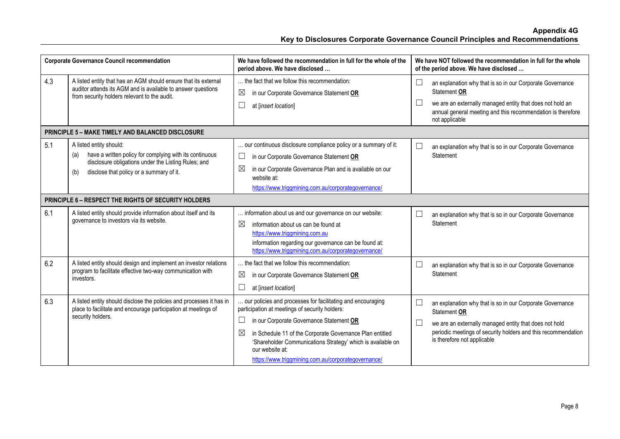|     | <b>Corporate Governance Council recommendation</b>                                                                                                                                                  | We have followed the recommendation in full for the whole of the<br>period above. We have disclosed                                                                                                                                                                                                                                                                 | We have NOT followed the recommendation in full for the whole<br>of the period above. We have disclosed                                                                                                                                                 |
|-----|-----------------------------------------------------------------------------------------------------------------------------------------------------------------------------------------------------|---------------------------------------------------------------------------------------------------------------------------------------------------------------------------------------------------------------------------------------------------------------------------------------------------------------------------------------------------------------------|---------------------------------------------------------------------------------------------------------------------------------------------------------------------------------------------------------------------------------------------------------|
| 4.3 | A listed entity that has an AGM should ensure that its external<br>auditor attends its AGM and is available to answer questions<br>from security holders relevant to the audit.                     | the fact that we follow this recommendation:<br>⊠<br>in our Corporate Governance Statement OR<br>at [insert location]                                                                                                                                                                                                                                               | $\sqcup$<br>an explanation why that is so in our Corporate Governance<br>Statement OR<br>$\Box$<br>we are an externally managed entity that does not hold an<br>annual general meeting and this recommendation is therefore<br>not applicable           |
|     | <b>PRINCIPLE 5 - MAKE TIMELY AND BALANCED DISCLOSURE</b>                                                                                                                                            |                                                                                                                                                                                                                                                                                                                                                                     |                                                                                                                                                                                                                                                         |
| 5.1 | A listed entity should:<br>have a written policy for complying with its continuous<br>(a)<br>disclosure obligations under the Listing Rules; and<br>disclose that policy or a summary of it.<br>(b) | our continuous disclosure compliance policy or a summary of it:<br>$\Box$<br>in our Corporate Governance Statement OR<br>$\boxtimes$<br>in our Corporate Governance Plan and is available on our<br>website at:<br>https://www.triggmining.com.au/corporategovernance/                                                                                              | $\Box$<br>an explanation why that is so in our Corporate Governance<br>Statement                                                                                                                                                                        |
|     | <b>PRINCIPLE 6 - RESPECT THE RIGHTS OF SECURITY HOLDERS</b>                                                                                                                                         |                                                                                                                                                                                                                                                                                                                                                                     |                                                                                                                                                                                                                                                         |
| 6.1 | A listed entity should provide information about itself and its<br>governance to investors via its website.                                                                                         | information about us and our governance on our website:<br>$\boxtimes$<br>information about us can be found at<br>https://www.triggmining.com.au<br>information regarding our governance can be found at:<br>https://www.triggmining.com.au/corporategovernance/                                                                                                    | $\Box$<br>an explanation why that is so in our Corporate Governance<br>Statement                                                                                                                                                                        |
| 6.2 | A listed entity should design and implement an investor relations<br>program to facilitate effective two-way communication with<br>investors.                                                       | the fact that we follow this recommendation:<br>⊠<br>in our Corporate Governance Statement OR<br>at [insert location]                                                                                                                                                                                                                                               | $\Box$<br>an explanation why that is so in our Corporate Governance<br>Statement                                                                                                                                                                        |
| 6.3 | A listed entity should disclose the policies and processes it has in<br>place to facilitate and encourage participation at meetings of<br>security holders.                                         | our policies and processes for facilitating and encouraging<br>participation at meetings of security holders:<br>in our Corporate Governance Statement OR<br>⊠<br>in Schedule 11 of the Corporate Governance Plan entitled<br>'Shareholder Communications Strategy' which is available on<br>our website at:<br>https://www.triggmining.com.au/corporategovernance/ | $\Box$<br>an explanation why that is so in our Corporate Governance<br>Statement OR<br>$\Box$<br>we are an externally managed entity that does not hold<br>periodic meetings of security holders and this recommendation<br>is therefore not applicable |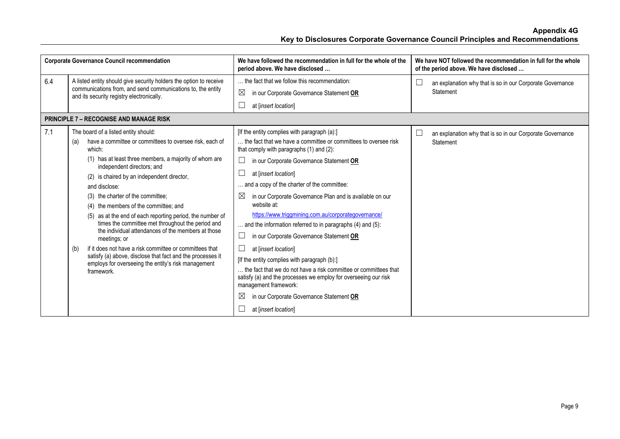|     | <b>Corporate Governance Council recommendation</b>                                                                                                                                                                                                                                                                                                                                                                                                                                                                                                                                                                                                                                                                                                 | We have followed the recommendation in full for the whole of the<br>period above. We have disclosed                                                                                                                                                                                                                                                                                                                                                                                                                                                                                                                                                                                                                                                                                                                                                                  | We have NOT followed the recommendation in full for the whole<br>of the period above. We have disclosed |
|-----|----------------------------------------------------------------------------------------------------------------------------------------------------------------------------------------------------------------------------------------------------------------------------------------------------------------------------------------------------------------------------------------------------------------------------------------------------------------------------------------------------------------------------------------------------------------------------------------------------------------------------------------------------------------------------------------------------------------------------------------------------|----------------------------------------------------------------------------------------------------------------------------------------------------------------------------------------------------------------------------------------------------------------------------------------------------------------------------------------------------------------------------------------------------------------------------------------------------------------------------------------------------------------------------------------------------------------------------------------------------------------------------------------------------------------------------------------------------------------------------------------------------------------------------------------------------------------------------------------------------------------------|---------------------------------------------------------------------------------------------------------|
| 6.4 | A listed entity should give security holders the option to receive<br>communications from, and send communications to, the entity<br>and its security registry electronically.                                                                                                                                                                                                                                                                                                                                                                                                                                                                                                                                                                     | the fact that we follow this recommendation:<br>$\boxtimes$<br>in our Corporate Governance Statement OR<br>at linsert location]                                                                                                                                                                                                                                                                                                                                                                                                                                                                                                                                                                                                                                                                                                                                      | an explanation why that is so in our Corporate Governance<br>Statement                                  |
|     | <b>PRINCIPLE 7 - RECOGNISE AND MANAGE RISK</b>                                                                                                                                                                                                                                                                                                                                                                                                                                                                                                                                                                                                                                                                                                     |                                                                                                                                                                                                                                                                                                                                                                                                                                                                                                                                                                                                                                                                                                                                                                                                                                                                      |                                                                                                         |
| 7.1 | The board of a listed entity should:<br>have a committee or committees to oversee risk, each of<br>(a)<br>which:<br>(1) has at least three members, a majority of whom are<br>independent directors; and<br>(2) is chaired by an independent director,<br>and disclose:<br>(3) the charter of the committee;<br>(4) the members of the committee; and<br>(5) as at the end of each reporting period, the number of<br>times the committee met throughout the period and<br>the individual attendances of the members at those<br>meetings; or<br>if it does not have a risk committee or committees that<br>(b)<br>satisfy (a) above, disclose that fact and the processes it<br>employs for overseeing the entity's risk management<br>framework. | [If the entity complies with paragraph (a):]<br>the fact that we have a committee or committees to oversee risk<br>that comply with paragraphs (1) and (2):<br>in our Corporate Governance Statement OR<br>at linsert location]<br>and a copy of the charter of the committee:<br>$\boxtimes$<br>in our Corporate Governance Plan and is available on our<br>website at:<br>https://www.triggmining.com.au/corporategovernance/<br>and the information referred to in paragraphs (4) and (5):<br>in our Corporate Governance Statement OR<br>at [insert location]<br>[If the entity complies with paragraph (b):]<br>the fact that we do not have a risk committee or committees that<br>satisfy (a) and the processes we employ for overseeing our risk<br>management framework:<br>$\boxtimes$<br>in our Corporate Governance Statement OR<br>at [insert location] | an explanation why that is so in our Corporate Governance<br>Statement                                  |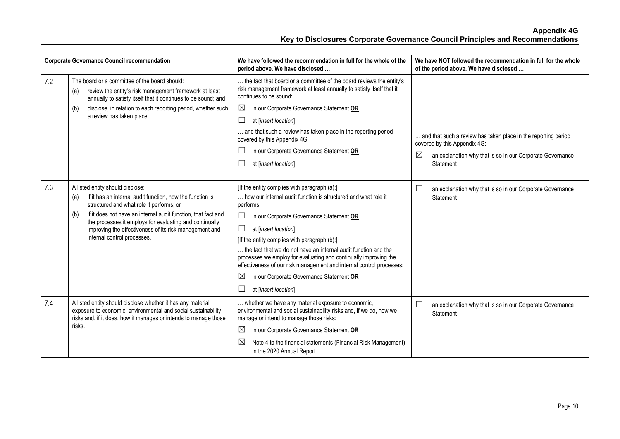| <b>Corporate Governance Council recommendation</b> |                                                                                                                                                                                                                                                                                                                                                                              | We have followed the recommendation in full for the whole of the<br>period above. We have disclosed                                                                                                                                                                                                                                                                                                                                                                                                                                                    | We have NOT followed the recommendation in full for the whole<br>of the period above. We have disclosed                                                                                 |
|----------------------------------------------------|------------------------------------------------------------------------------------------------------------------------------------------------------------------------------------------------------------------------------------------------------------------------------------------------------------------------------------------------------------------------------|--------------------------------------------------------------------------------------------------------------------------------------------------------------------------------------------------------------------------------------------------------------------------------------------------------------------------------------------------------------------------------------------------------------------------------------------------------------------------------------------------------------------------------------------------------|-----------------------------------------------------------------------------------------------------------------------------------------------------------------------------------------|
| 7.2                                                | The board or a committee of the board should:<br>review the entity's risk management framework at least<br>(a)<br>annually to satisfy itself that it continues to be sound; and<br>disclose, in relation to each reporting period, whether such<br>(b)<br>a review has taken place.                                                                                          | the fact that board or a committee of the board reviews the entity's<br>risk management framework at least annually to satisfy itself that it<br>continues to be sound:<br>$\boxtimes$<br>in our Corporate Governance Statement OR<br>$\Box$<br>at [insert location]<br>and that such a review has taken place in the reporting period<br>covered by this Appendix 4G:<br>in our Corporate Governance Statement OR<br>at [insert location]                                                                                                             | and that such a review has taken place in the reporting period<br>covered by this Appendix 4G:<br>$\boxtimes$<br>an explanation why that is so in our Corporate Governance<br>Statement |
| 7.3                                                | A listed entity should disclose:<br>if it has an internal audit function, how the function is<br>(a)<br>structured and what role it performs; or<br>if it does not have an internal audit function, that fact and<br>(b)<br>the processes it employs for evaluating and continually<br>improving the effectiveness of its risk management and<br>internal control processes. | [If the entity complies with paragraph (a):]<br>how our internal audit function is structured and what role it<br>performs:<br>in our Corporate Governance Statement OR<br>Ш<br>at linsert location]<br>[If the entity complies with paragraph (b):]<br>the fact that we do not have an internal audit function and the<br>processes we employ for evaluating and continually improving the<br>effectiveness of our risk management and internal control processes:<br>$\boxtimes$<br>in our Corporate Governance Statement OR<br>at [insert location] | an explanation why that is so in our Corporate Governance<br>L<br>Statement                                                                                                             |
| 7.4                                                | A listed entity should disclose whether it has any material<br>exposure to economic, environmental and social sustainability<br>risks and, if it does, how it manages or intends to manage those<br>risks.                                                                                                                                                                   | whether we have any material exposure to economic,<br>environmental and social sustainability risks and, if we do, how we<br>manage or intend to manage those risks:<br>$\boxtimes$<br>in our Corporate Governance Statement OR<br>Note 4 to the financial statements (Financial Risk Management)<br>in the 2020 Annual Report.                                                                                                                                                                                                                        | an explanation why that is so in our Corporate Governance<br>$\Box$<br>Statement                                                                                                        |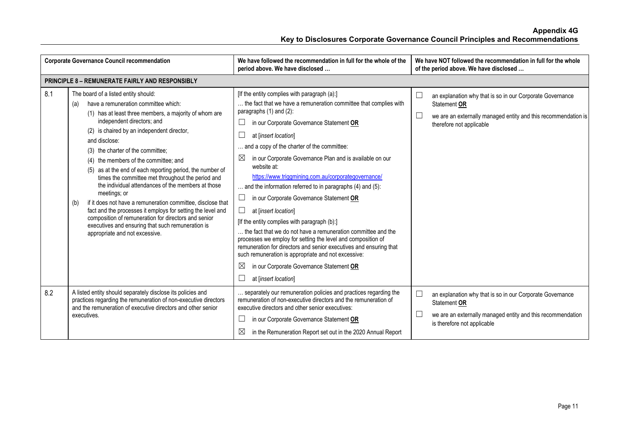| <b>Corporate Governance Council recommendation</b>     |                                                                                                                                                                                                                                                                                                                                                                                                                                                                                                                                                                                                                                                                                                                                                                                                      | We have followed the recommendation in full for the whole of the<br>period above. We have disclosed                                                                                                                                                                                                                                                                                                                                                                                                                                                                                                                                                                                                                                                                                                                                                                                                                                                               | We have NOT followed the recommendation in full for the whole<br>of the period above. We have disclosed                                                                 |  |  |
|--------------------------------------------------------|------------------------------------------------------------------------------------------------------------------------------------------------------------------------------------------------------------------------------------------------------------------------------------------------------------------------------------------------------------------------------------------------------------------------------------------------------------------------------------------------------------------------------------------------------------------------------------------------------------------------------------------------------------------------------------------------------------------------------------------------------------------------------------------------------|-------------------------------------------------------------------------------------------------------------------------------------------------------------------------------------------------------------------------------------------------------------------------------------------------------------------------------------------------------------------------------------------------------------------------------------------------------------------------------------------------------------------------------------------------------------------------------------------------------------------------------------------------------------------------------------------------------------------------------------------------------------------------------------------------------------------------------------------------------------------------------------------------------------------------------------------------------------------|-------------------------------------------------------------------------------------------------------------------------------------------------------------------------|--|--|
| <b>PRINCIPLE 8 - REMUNERATE FAIRLY AND RESPONSIBLY</b> |                                                                                                                                                                                                                                                                                                                                                                                                                                                                                                                                                                                                                                                                                                                                                                                                      |                                                                                                                                                                                                                                                                                                                                                                                                                                                                                                                                                                                                                                                                                                                                                                                                                                                                                                                                                                   |                                                                                                                                                                         |  |  |
| 8.1                                                    | The board of a listed entity should:<br>have a remuneration committee which:<br>(a)<br>(1) has at least three members, a majority of whom are<br>independent directors; and<br>(2) is chaired by an independent director,<br>and disclose:<br>(3) the charter of the committee;<br>(4) the members of the committee; and<br>(5) as at the end of each reporting period, the number of<br>times the committee met throughout the period and<br>the individual attendances of the members at those<br>meetings; or<br>if it does not have a remuneration committee, disclose that<br>(b)<br>fact and the processes it employs for setting the level and<br>composition of remuneration for directors and senior<br>executives and ensuring that such remuneration is<br>appropriate and not excessive. | [If the entity complies with paragraph (a):]<br>the fact that we have a remuneration committee that complies with<br>paragraphs $(1)$ and $(2)$ :<br>in our Corporate Governance Statement OR<br>at [insert location]<br>and a copy of the charter of the committee:<br>in our Corporate Governance Plan and is available on our<br>$\bowtie$<br>website at:<br>https://www.triggmining.com.au/corporategovernance/<br>and the information referred to in paragraphs (4) and (5):<br>in our Corporate Governance Statement OR<br>$\perp$<br>at [insert location]<br>[If the entity complies with paragraph (b):]<br>the fact that we do not have a remuneration committee and the<br>processes we employ for setting the level and composition of<br>remuneration for directors and senior executives and ensuring that<br>such remuneration is appropriate and not excessive:<br>$\boxtimes$<br>in our Corporate Governance Statement OR<br>at [insert location] | an explanation why that is so in our Corporate Governance<br>Statement OR<br>we are an externally managed entity and this recommendation is<br>therefore not applicable |  |  |
| 8.2                                                    | A listed entity should separately disclose its policies and<br>practices regarding the remuneration of non-executive directors<br>and the remuneration of executive directors and other senior<br>executives.                                                                                                                                                                                                                                                                                                                                                                                                                                                                                                                                                                                        | separately our remuneration policies and practices regarding the<br>remuneration of non-executive directors and the remuneration of<br>executive directors and other senior executives:<br>in our Corporate Governance Statement OR<br>$\boxtimes$<br>in the Remuneration Report set out in the 2020 Annual Report                                                                                                                                                                                                                                                                                                                                                                                                                                                                                                                                                                                                                                                | an explanation why that is so in our Corporate Governance<br>Statement OR<br>we are an externally managed entity and this recommendation<br>is therefore not applicable |  |  |